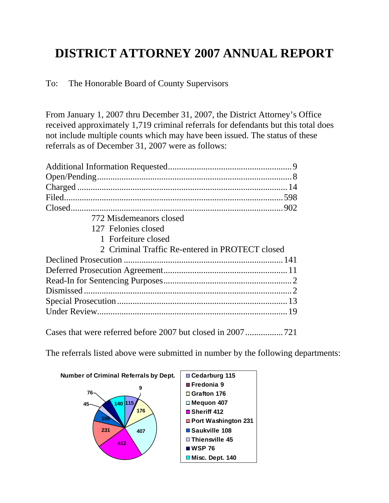## **DISTRICT ATTORNEY 2007 ANNUAL REPORT**

To: The Honorable Board of County Supervisors

From January 1, 2007 thru December 31, 2007, the District Attorney's Office received approximately 1,719 criminal referrals for defendants but this total does not include multiple counts which may have been issued. The status of these referrals as of December 31, 2007 were as follows:

| 772 Misdemeanors closed                         |  |
|-------------------------------------------------|--|
| 127 Felonies closed                             |  |
| 1 Forfeiture closed                             |  |
| 2 Criminal Traffic Re-entered in PROTECT closed |  |
|                                                 |  |
|                                                 |  |
|                                                 |  |
|                                                 |  |
|                                                 |  |
|                                                 |  |
|                                                 |  |

Cases that were referred before 2007 but closed in 2007.................721

The referrals listed above were submitted in number by the following departments:

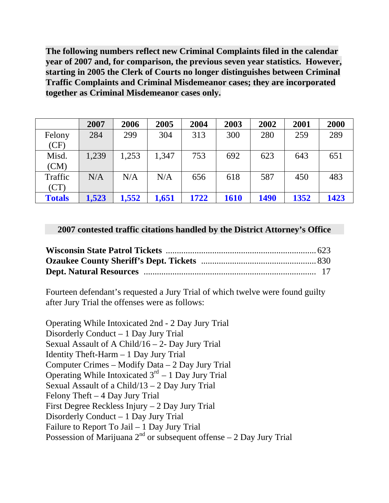**The following numbers reflect new Criminal Complaints filed in the calendar year of 2007 and, for comparison, the previous seven year statistics. However, starting in 2005 the Clerk of Courts no longer distinguishes between Criminal Traffic Complaints and Criminal Misdemeanor cases; they are incorporated together as Criminal Misdemeanor cases only.** 

|               | 2007  | 2006  | 2005  | 2004 | 2003        | 2002 | 2001 | 2000 |
|---------------|-------|-------|-------|------|-------------|------|------|------|
| Felony        | 284   | 299   | 304   | 313  | 300         | 280  | 259  | 289  |
| (CF)          |       |       |       |      |             |      |      |      |
| Misd.         | 1,239 | 1,253 | 1,347 | 753  | 692         | 623  | 643  | 651  |
| (CM)          |       |       |       |      |             |      |      |      |
| Traffic       | N/A   | N/A   | N/A   | 656  | 618         | 587  | 450  | 483  |
| (CT)          |       |       |       |      |             |      |      |      |
| <b>Totals</b> | 1,523 | 1,552 | 1,651 | 1722 | <b>1610</b> | 1490 | 1352 | 1423 |

## **2007 contested traffic citations handled by the District Attorney's Office**

Fourteen defendant's requested a Jury Trial of which twelve were found guilty after Jury Trial the offenses were as follows:

Operating While Intoxicated 2nd - 2 Day Jury Trial Disorderly Conduct – 1 Day Jury Trial Sexual Assault of A Child/16 – 2- Day Jury Trial Identity Theft-Harm – 1 Day Jury Trial Computer Crimes – Modify Data – 2 Day Jury Trial Operating While Intoxicated  $3<sup>rd</sup> - 1$  Day Jury Trial Sexual Assault of a Child/13 – 2 Day Jury Trial Felony Theft – 4 Day Jury Trial First Degree Reckless Injury – 2 Day Jury Trial Disorderly Conduct – 1 Day Jury Trial Failure to Report To Jail – 1 Day Jury Trial Possession of Marijuana  $2<sup>nd</sup>$  or subsequent offense – 2 Day Jury Trial